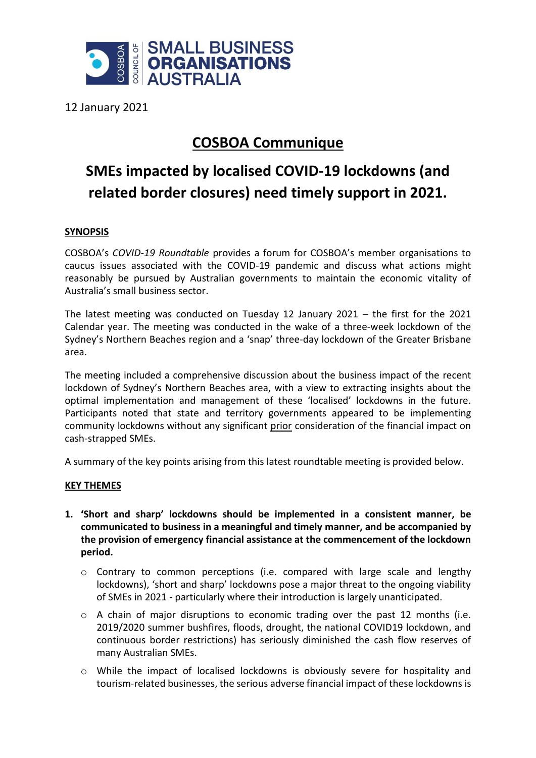

12 January 2021

## **COSBOA Communique**

# **SMEs impacted by localised COVID-19 lockdowns (and related border closures) need timely support in 2021.**

### **SYNOPSIS**

COSBOA's *COVID-19 Roundtable* provides a forum for COSBOA's member organisations to caucus issues associated with the COVID-19 pandemic and discuss what actions might reasonably be pursued by Australian governments to maintain the economic vitality of Australia's small business sector.

The latest meeting was conducted on Tuesday 12 January 2021 – the first for the 2021 Calendar year. The meeting was conducted in the wake of a three-week lockdown of the Sydney's Northern Beaches region and a 'snap' three-day lockdown of the Greater Brisbane area.

The meeting included a comprehensive discussion about the business impact of the recent lockdown of Sydney's Northern Beaches area, with a view to extracting insights about the optimal implementation and management of these 'localised' lockdowns in the future. Participants noted that state and territory governments appeared to be implementing community lockdowns without any significant prior consideration of the financial impact on cash-strapped SMEs.

A summary of the key points arising from this latest roundtable meeting is provided below.

#### **KEY THEMES**

- **1. 'Short and sharp' lockdowns should be implemented in a consistent manner, be communicated to business in a meaningful and timely manner, and be accompanied by the provision of emergency financial assistance at the commencement of the lockdown period.**
	- $\circ$  Contrary to common perceptions (i.e. compared with large scale and lengthy lockdowns), 'short and sharp' lockdowns pose a major threat to the ongoing viability of SMEs in 2021 - particularly where their introduction is largely unanticipated.
	- o A chain of major disruptions to economic trading over the past 12 months (i.e. 2019/2020 summer bushfires, floods, drought, the national COVID19 lockdown, and continuous border restrictions) has seriously diminished the cash flow reserves of many Australian SMEs.
	- o While the impact of localised lockdowns is obviously severe for hospitality and tourism-related businesses, the serious adverse financial impact of these lockdowns is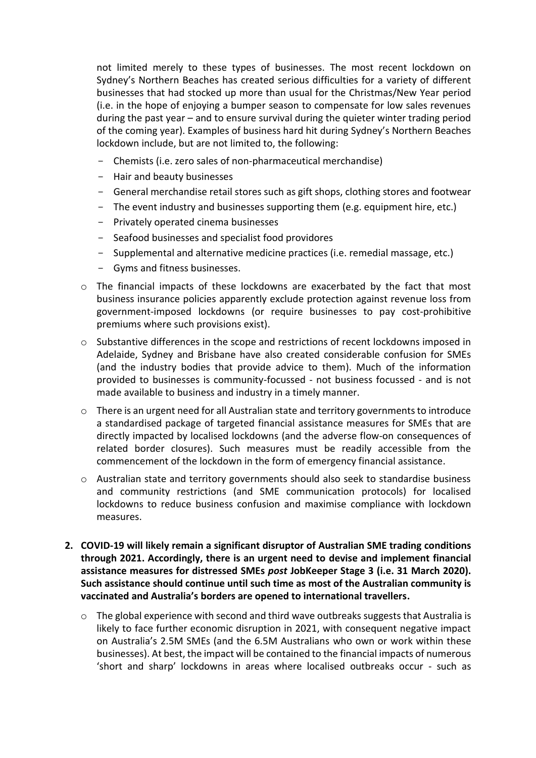not limited merely to these types of businesses. The most recent lockdown on Sydney's Northern Beaches has created serious difficulties for a variety of different businesses that had stocked up more than usual for the Christmas/New Year period (i.e. in the hope of enjoying a bumper season to compensate for low sales revenues during the past year – and to ensure survival during the quieter winter trading period of the coming year). Examples of business hard hit during Sydney's Northern Beaches lockdown include, but are not limited to, the following:

- Chemists (i.e. zero sales of non-pharmaceutical merchandise)
- Hair and beauty businesses
- General merchandise retail stores such as gift shops, clothing stores and footwear
- The event industry and businesses supporting them (e.g. equipment hire, etc.)
- Privately operated cinema businesses
- Seafood businesses and specialist food providores
- Supplemental and alternative medicine practices (i.e. remedial massage, etc.)
- Gyms and fitness businesses.
- o The financial impacts of these lockdowns are exacerbated by the fact that most business insurance policies apparently exclude protection against revenue loss from government-imposed lockdowns (or require businesses to pay cost-prohibitive premiums where such provisions exist).
- $\circ$  Substantive differences in the scope and restrictions of recent lockdowns imposed in Adelaide, Sydney and Brisbane have also created considerable confusion for SMEs (and the industry bodies that provide advice to them). Much of the information provided to businesses is community-focussed - not business focussed - and is not made available to business and industry in a timely manner.
- $\circ$  There is an urgent need for all Australian state and territory governments to introduce a standardised package of targeted financial assistance measures for SMEs that are directly impacted by localised lockdowns (and the adverse flow-on consequences of related border closures). Such measures must be readily accessible from the commencement of the lockdown in the form of emergency financial assistance.
- $\circ$  Australian state and territory governments should also seek to standardise business and community restrictions (and SME communication protocols) for localised lockdowns to reduce business confusion and maximise compliance with lockdown measures.
- **2. COVID-19 will likely remain a significant disruptor of Australian SME trading conditions through 2021. Accordingly, there is an urgent need to devise and implement financial assistance measures for distressed SMEs** *post* **JobKeeper Stage 3 (i.e. 31 March 2020). Such assistance should continue until such time as most of the Australian community is vaccinated and Australia's borders are opened to international travellers.**
	- $\circ$  The global experience with second and third wave outbreaks suggests that Australia is likely to face further economic disruption in 2021, with consequent negative impact on Australia's 2.5M SMEs (and the 6.5M Australians who own or work within these businesses). At best, the impact will be contained to the financial impacts of numerous 'short and sharp' lockdowns in areas where localised outbreaks occur - such as